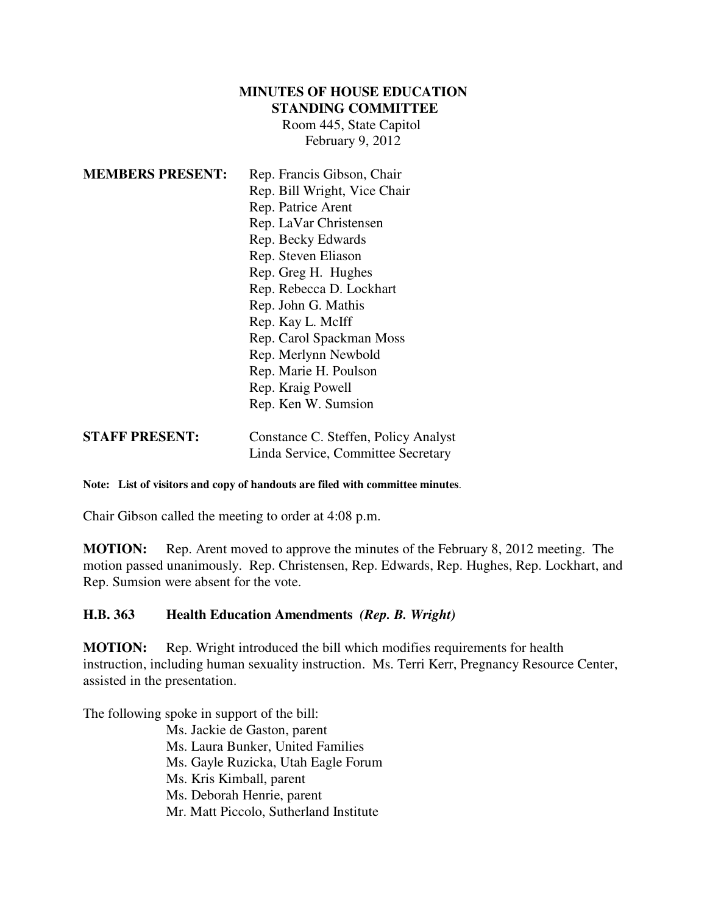## **MINUTES OF HOUSE EDUCATION STANDING COMMITTEE**

Room 445, State Capitol February 9, 2012

| <b>MEMBERS PRESENT:</b> | Rep. Francis Gibson, Chair   |
|-------------------------|------------------------------|
|                         | Rep. Bill Wright, Vice Chair |
|                         | Rep. Patrice Arent           |
|                         | Rep. LaVar Christensen       |
|                         | Rep. Becky Edwards           |
|                         | Rep. Steven Eliason          |
|                         | Rep. Greg H. Hughes          |
|                         | Rep. Rebecca D. Lockhart     |
|                         | Rep. John G. Mathis          |
|                         | Rep. Kay L. McIff            |
|                         | Rep. Carol Spackman Moss     |
|                         | Rep. Merlynn Newbold         |
|                         | Rep. Marie H. Poulson        |
|                         | Rep. Kraig Powell            |
|                         | Rep. Ken W. Sumsion          |
|                         |                              |

## Linda Service, Committee Secretary

**STAFF PRESENT:** Constance C. Steffen, Policy Analyst

## **Note: List of visitors and copy of handouts are filed with committee minutes**.

Chair Gibson called the meeting to order at 4:08 p.m.

**MOTION:** Rep. Arent moved to approve the minutes of the February 8, 2012 meeting. The motion passed unanimously. Rep. Christensen, Rep. Edwards, Rep. Hughes, Rep. Lockhart, and Rep. Sumsion were absent for the vote.

## **H.B. 363 Health Education Amendments** *(Rep. B. Wright)*

**MOTION:** Rep. Wright introduced the bill which modifies requirements for health instruction, including human sexuality instruction. Ms. Terri Kerr, Pregnancy Resource Center, assisted in the presentation.

The following spoke in support of the bill:

Ms. Jackie de Gaston, parent Ms. Laura Bunker, United Families Ms. Gayle Ruzicka, Utah Eagle Forum Ms. Kris Kimball, parent Ms. Deborah Henrie, parent Mr. Matt Piccolo, Sutherland Institute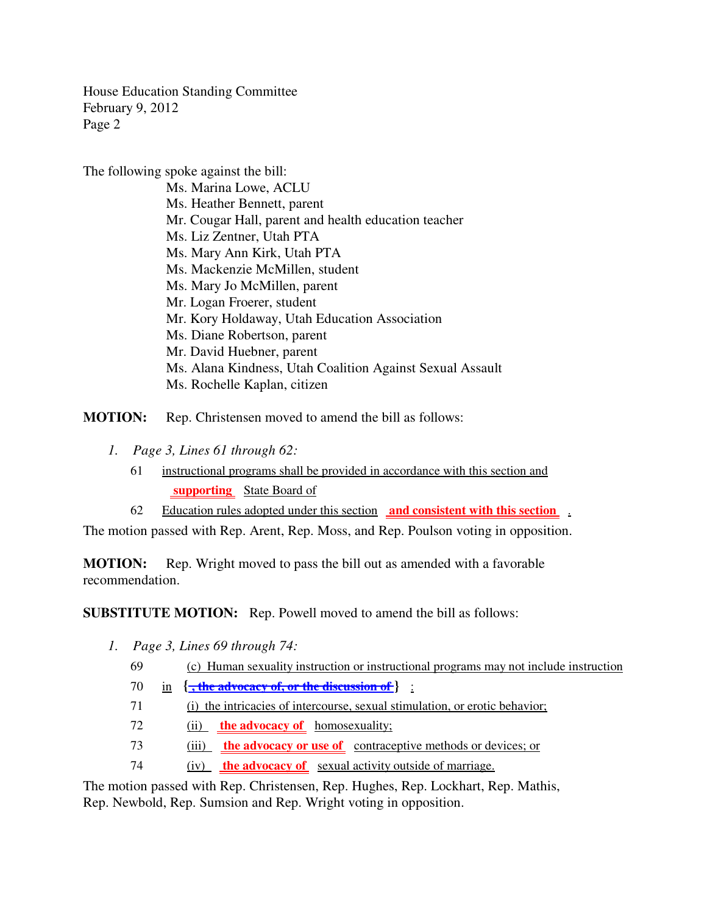House Education Standing Committee February 9, 2012 Page 2

The following spoke against the bill:

Ms. Marina Lowe, ACLU Ms. Heather Bennett, parent Mr. Cougar Hall, parent and health education teacher Ms. Liz Zentner, Utah PTA Ms. Mary Ann Kirk, Utah PTA Ms. Mackenzie McMillen, student Ms. Mary Jo McMillen, parent Mr. Logan Froerer, student Mr. Kory Holdaway, Utah Education Association Ms. Diane Robertson, parent Mr. David Huebner, parent Ms. Alana Kindness, Utah Coalition Against Sexual Assault Ms. Rochelle Kaplan, citizen

**MOTION:** Rep. Christensen moved to amend the bill as follows:

- *1. Page 3, Lines 61 through 62:*
	- 61 instructional programs shall be provided in accordance with this section and  **supporting** State Board of

62 Education rules adopted under this section **and consistent with this section** .

The motion passed with Rep. Arent, Rep. Moss, and Rep. Poulson voting in opposition.

**MOTION:** Rep. Wright moved to pass the bill out as amended with a favorable recommendation.

**SUBSTITUTE MOTION:** Rep. Powell moved to amend the bill as follows:

- *1. Page 3, Lines 69 through 74:*
	- 69 (c) Human sexuality instruction or instructional programs may not include instruction
	- 70 in **{ , the advocacy of, or the discussion of }** :
	- 71 (i) the intricacies of intercourse, sexual stimulation, or erotic behavior;
	- 72 (ii) **the advocacy of** homosexuality;
	- 73 (iii) **the advocacy or use of** contraceptive methods or devices; or
	- 74 (iv) **the advocacy of** sexual activity outside of marriage.

The motion passed with Rep. Christensen, Rep. Hughes, Rep. Lockhart, Rep. Mathis, Rep. Newbold, Rep. Sumsion and Rep. Wright voting in opposition.